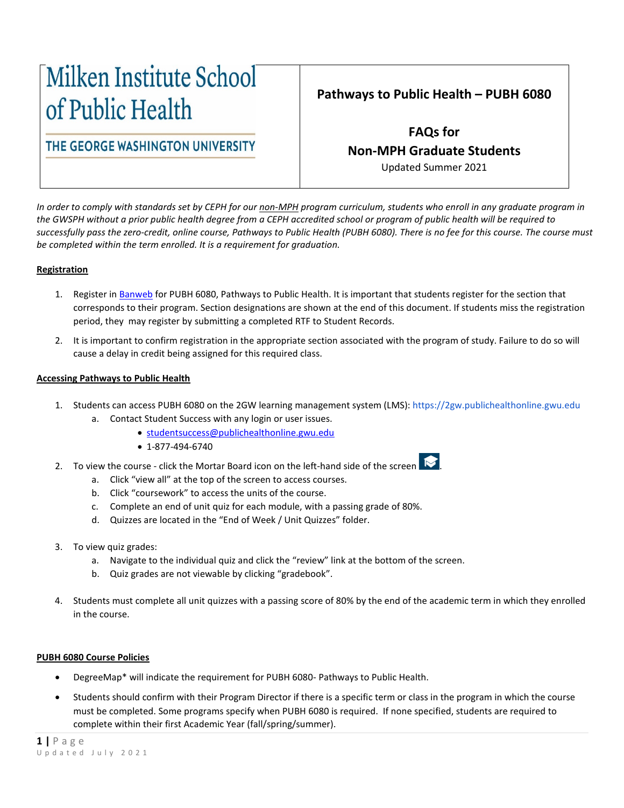# Milken Institute School of Public Health

THE GEORGE WASHINGTON UNIVERSITY

# **Pathways to Public Health – PUBH 6080**

**FAQs for Non-MPH Graduate Students**

Updated Summer 2021

*In order to comply with standards set by CEPH for our non-MPH program curriculum, students who enroll in any graduate program in the GWSPH without a prior public health degree from a CEPH accredited school or program of public health will be required to successfully pass the zero-credit, online course, Pathways to Public Health (PUBH 6080). There is no fee for this course. The course must be completed within the term enrolled. It is a requirement for graduation.* 

## **Registration**

- 1. Register in [Banweb](https://it.gwu.edu/gweb) for PUBH 6080, Pathways to Public Health. It is important that students register for the section that corresponds to their program. Section designations are shown at the end of this document. If students miss the registration period, they may register by submitting a completed RTF to Student Records.
- 2. It is important to confirm registration in the appropriate section associated with the program of study. Failure to do so will cause a delay in credit being assigned for this required class.

### **Accessing Pathways to Public Health**

- 1. Students can access PUBH 6080 on the 2GW learning management system (LMS): [https://2gw.publichealthonline.gwu.edu](https://2gw.publichealthonline.gwu.edu/) a. Contact Student Success with any login or user issues.
	- [studentsuccess@publichealthonline.gwu.edu](mailto:studentsuccess@publichealthonline.gwu.edu)
		- 1-877-494-6740
- 2. To view the course click the Mortar Board icon on the left-hand side of the screen  $\mathbf{R}$ .
	- a. Click "view all" at the top of the screen to access courses.
	- b. Click "coursework" to access the units of the course.
	- c. Complete an end of unit quiz for each module, with a passing grade of 80%.
	- d. Quizzes are located in the "End of Week / Unit Quizzes" folder.
- 3. To view quiz grades:
	- a. Navigate to the individual quiz and click the "review" link at the bottom of the screen.
	- b. Quiz grades are not viewable by clicking "gradebook".
- 4. Students must complete all unit quizzes with a passing score of 80% by the end of the academic term in which they enrolled in the course.

### **PUBH 6080 Course Policies**

- DegreeMap\* will indicate the requirement for PUBH 6080- Pathways to Public Health.
- Students should confirm with their Program Director if there is a specific term or class in the program in which the course must be completed. Some programs specify when PUBH 6080 is required. If none specified, students are required to complete within their first Academic Year (fall/spring/summer).